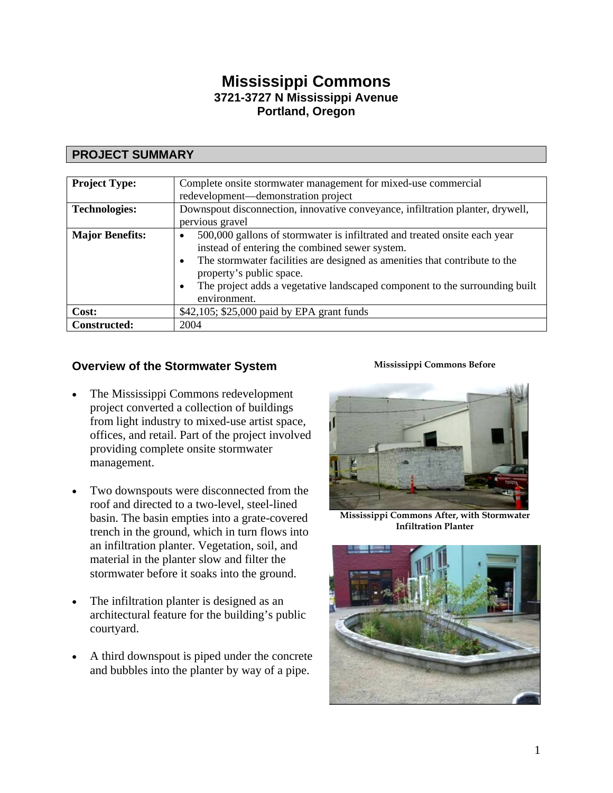# **Mississippi Commons 3721-3727 N Mississippi Avenue Portland, Oregon**

# **PROJECT SUMMARY**

| <b>Project Type:</b>   | Complete onsite stormwater management for mixed-use commercial<br>redevelopment—demonstration project                                                                                                                                                                                                                                                                       |
|------------------------|-----------------------------------------------------------------------------------------------------------------------------------------------------------------------------------------------------------------------------------------------------------------------------------------------------------------------------------------------------------------------------|
| <b>Technologies:</b>   | Downspout disconnection, innovative conveyance, infiltration planter, drywell,                                                                                                                                                                                                                                                                                              |
|                        | pervious gravel                                                                                                                                                                                                                                                                                                                                                             |
| <b>Major Benefits:</b> | 500,000 gallons of stormwater is infiltrated and treated onsite each year<br>$\bullet$<br>instead of entering the combined sewer system.<br>The stormwater facilities are designed as amenities that contribute to the<br>$\bullet$<br>property's public space.<br>The project adds a vegetative landscaped component to the surrounding built<br>$\bullet$<br>environment. |
| Cost:                  | \$42,105; \$25,000 paid by EPA grant funds                                                                                                                                                                                                                                                                                                                                  |
| <b>Constructed:</b>    | 2004                                                                                                                                                                                                                                                                                                                                                                        |

# **Overview of the Stormwater System <b>Mississippi Commons Before**

- The Mississippi Commons redevelopment project converted a collection of buildings from light industry to mixed-use artist space, offices, and retail. Part of the project involved providing complete onsite stormwater management.
- Two downspouts were disconnected from the roof and directed to a two-level, steel-lined basin. The basin empties into a grate-covered trench in the ground, which in turn flows into an infiltration planter. Vegetation, soil, and material in the planter slow and filter the stormwater before it soaks into the ground.
- The infiltration planter is designed as an architectural feature for the building's public courtyard.
- A third downspout is piped under the concrete and bubbles into the planter by way of a pipe.



**Mississippi Commons After, with Stormwater Infiltration Planter** 

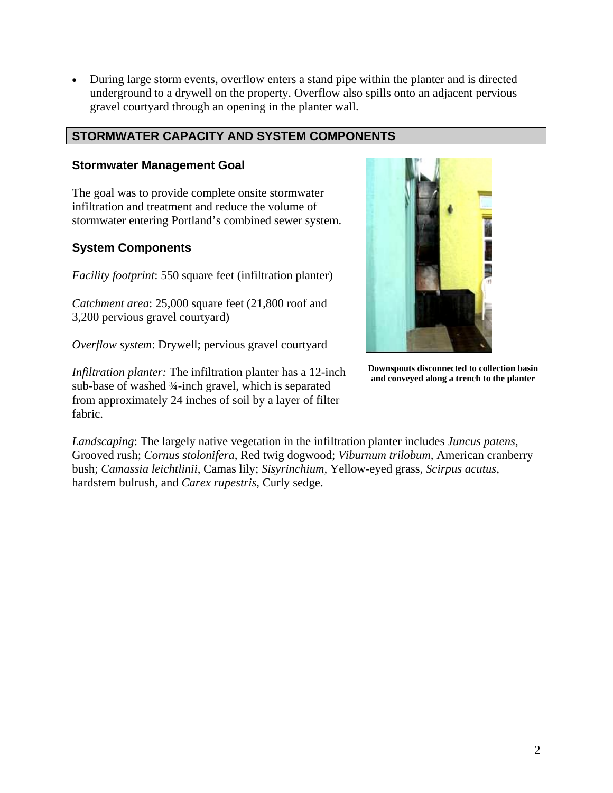• During large storm events, overflow enters a stand pipe within the planter and is directed underground to a drywell on the property. Overflow also spills onto an adjacent pervious gravel courtyard through an opening in the planter wall.

## **STORMWATER CAPACITY AND SYSTEM COMPONENTS**

#### **Stormwater Management Goal**

The goal was to provide complete onsite stormwater infiltration and treatment and reduce the volume of stormwater entering Portland's combined sewer system.

#### **System Components**

*Facility footprint*: 550 square feet (infiltration planter)

*Catchment area*: 25,000 square feet (21,800 roof and 3,200 pervious gravel courtyard)

*Overflow system*: Drywell; pervious gravel courtyard

**and conveyed along a trench to the planter** *Infiltration planter:* The infiltration planter has a 12-inch sub-base of washed ¾-inch gravel, which is separated from approximately 24 inches of soil by a layer of filter fabric.



**Downspouts disconnected to collection basin** 

*Landscaping*: The largely native vegetation in the infiltration planter includes *Juncus patens*, Grooved rush; *Cornus stolonifera*, Red twig dogwood; *Viburnum trilobum,* American cranberry bush; *Camassia leichtlinii*, Camas lily; *Sisyrinchium,* Yellow-eyed grass, *Scirpus acutus*, hardstem bulrush, and *Carex rupestris,* Curly sedge.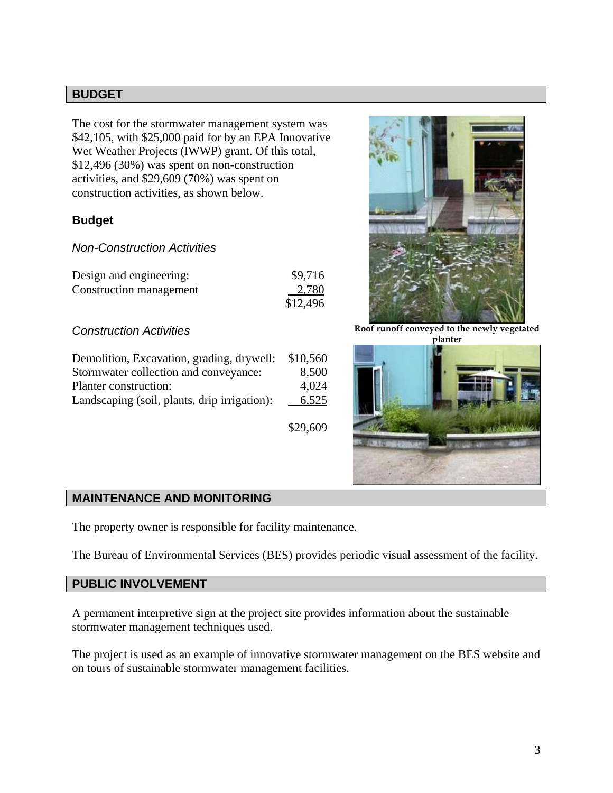#### **BUDGET**

The cost for the stormwater management system was \$42,105, with \$25,000 paid for by an EPA Innovative Wet Weather Projects (IWWP) grant. Of this total, \$12,496 (30%) was spent on non-construction activities, and \$29,609 (70%) was spent on construction activities, as shown below.

## **Budget**

#### *Non-Construction Activities*

| Design and engineering: | \$9,716  |
|-------------------------|----------|
| Construction management | 2,780    |
|                         | \$12,496 |

#### *Construction Activities*

| Demolition, Excavation, grading, drywell:    | \$10,560 |
|----------------------------------------------|----------|
| Stormwater collection and conveyance:        | 8,500    |
| Planter construction:                        | 4,024    |
| Landscaping (soil, plants, drip irrigation): | 6,525    |

\$29,609



**Roof runoff conveyed to the newly vegetated planter** 



#### **MAINTENANCE AND MONITORING**

The property owner is responsible for facility maintenance.

The Bureau of Environmental Services (BES) provides periodic visual assessment of the facility.

## **PUBLIC INVOLVEMENT**

A permanent interpretive sign at the project site provides information about the sustainable stormwater management techniques used.

The project is used as an example of innovative stormwater management on the BES website and on tours of sustainable stormwater management facilities.